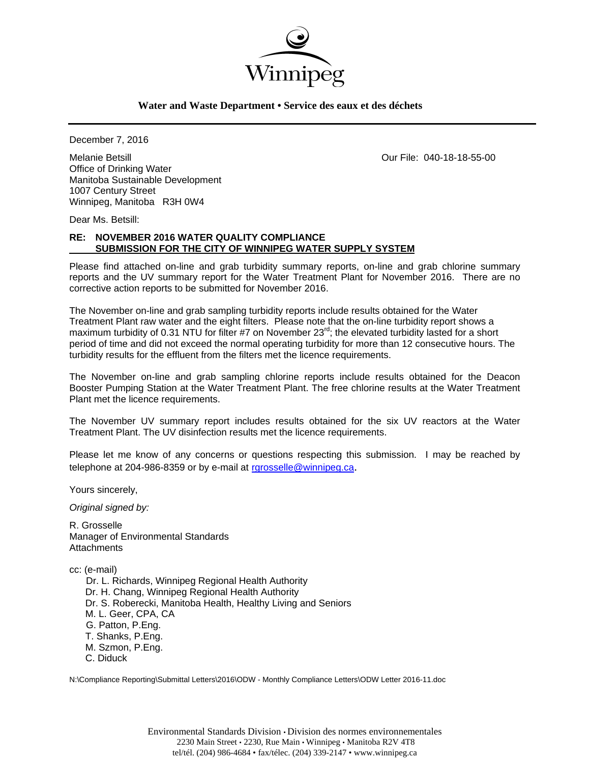

# **Water and Waste Department • Service des eaux et des déchets**

December 7, 2016

Melanie Betsill Our File: 040-18-18-55-00 Office of Drinking Water Manitoba Sustainable Development 1007 Century Street Winnipeg, Manitoba R3H 0W4

Dear Ms. Betsill:

# **RE: NOVEMBER 2016 WATER QUALITY COMPLIANCE SUBMISSION FOR THE CITY OF WINNIPEG WATER SUPPLY SYSTEM**

Please find attached on-line and grab turbidity summary reports, on-line and grab chlorine summary reports and the UV summary report for the Water Treatment Plant for November 2016. There are no corrective action reports to be submitted for November 2016.

The November on-line and grab sampling turbidity reports include results obtained for the Water Treatment Plant raw water and the eight filters. Please note that the on-line turbidity report shows a maximum turbidity of 0.31 NTU for filter #7 on November  $23<sup>rd</sup>$ ; the elevated turbidity lasted for a short period of time and did not exceed the normal operating turbidity for more than 12 consecutive hours. The turbidity results for the effluent from the filters met the licence requirements.

The November on-line and grab sampling chlorine reports include results obtained for the Deacon Booster Pumping Station at the Water Treatment Plant. The free chlorine results at the Water Treatment Plant met the licence requirements.

The November UV summary report includes results obtained for the six UV reactors at the Water Treatment Plant. The UV disinfection results met the licence requirements.

Please let me know of any concerns or questions respecting this submission. I may be reached by telephone at 204-986-8359 or by e-mail at rgrosselle@winnipeg.ca.

Yours sincerely,

*Original signed by:* 

R. Grosselle Manager of Environmental Standards **Attachments** 

cc: (e-mail)

 Dr. L. Richards, Winnipeg Regional Health Authority Dr. H. Chang, Winnipeg Regional Health Authority Dr. S. Roberecki, Manitoba Health, Healthy Living and Seniors M. L. Geer, CPA, CA G. Patton, P.Eng. T. Shanks, P.Eng. M. Szmon, P.Eng. C. Diduck

N:\Compliance Reporting\Submittal Letters\2016\ODW - Monthly Compliance Letters\ODW Letter 2016-11.doc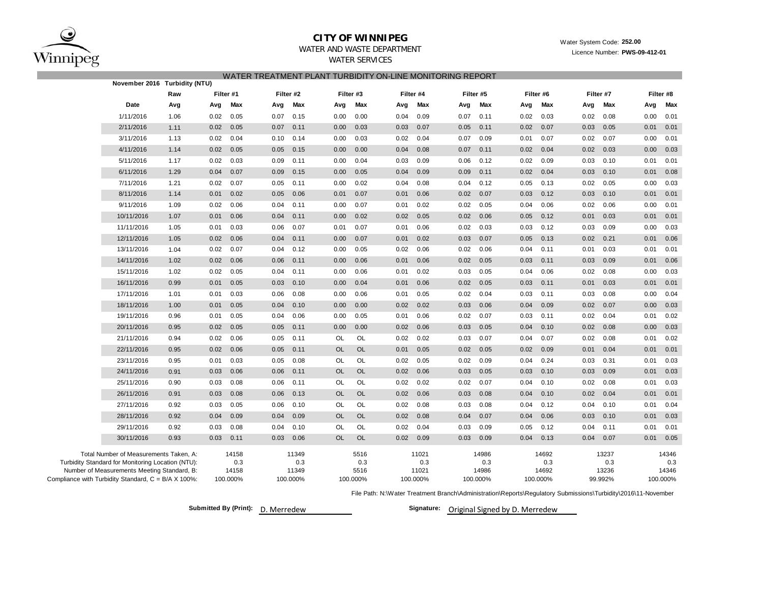

# **CITY OF WINNIPEG**WATER AND WASTE DEPARTMENT

Water System Code: **252.00**

Licence Number: **PWS-09-412-01**

### WATER SERVICES

|                                                                                                             | November 2016 Turbidity (NTU)          |      |      |              |      |              |           |             |      |              |          |              |          |              |      |              |          |              |  |  |  |  |  |  |  |
|-------------------------------------------------------------------------------------------------------------|----------------------------------------|------|------|--------------|------|--------------|-----------|-------------|------|--------------|----------|--------------|----------|--------------|------|--------------|----------|--------------|--|--|--|--|--|--|--|
|                                                                                                             |                                        | Raw  |      | Filter #1    |      | Filter #2    |           | Filter #3   |      | Filter #4    |          | Filter #5    |          | Filter #6    |      | Filter #7    |          | Filter #8    |  |  |  |  |  |  |  |
|                                                                                                             | Date<br>Avg                            |      | Avg  | Max          | Avg  | Max          | Avg       | Max         | Avg  | Max          | Avg      | Max          | Avg      | Max          | Avg  | Max          | Avg      | Max          |  |  |  |  |  |  |  |
|                                                                                                             | 1/11/2016                              | 1.06 | 0.02 | 0.05         | 0.07 | 0.15         | 0.00      | 0.00        | 0.04 | 0.09         | 0.07     | 0.11         | 0.02     | 0.03         | 0.02 | 0.08         | 0.00     | 0.01         |  |  |  |  |  |  |  |
|                                                                                                             | 2/11/2016                              | 1.11 | 0.02 | 0.05         | 0.07 | 0.11         | 0.00      | 0.03        | 0.03 | 0.07         | 0.05     | 0.11         | 0.02     | 0.07         | 0.03 | 0.05         | 0.01     | 0.01         |  |  |  |  |  |  |  |
|                                                                                                             | 3/11/2016                              | 1.13 | 0.02 | 0.04         | 0.10 | 0.14         | 0.00      | 0.03        | 0.02 | 0.04         | 0.07     | 0.09         | 0.01     | 0.07         | 0.02 | 0.07         | 0.00     | 0.01         |  |  |  |  |  |  |  |
|                                                                                                             | 4/11/2016                              | 1.14 | 0.02 | 0.05         | 0.05 | 0.15         | 0.00      | 0.00        | 0.04 | 0.08         | 0.07     | 0.11         | 0.02     | 0.04         | 0.02 | 0.03         | 0.00     | 0.03         |  |  |  |  |  |  |  |
|                                                                                                             | 5/11/2016                              | 1.17 | 0.02 | 0.03         | 0.09 | 0.11         | 0.00      | 0.04        | 0.03 | 0.09         | 0.06     | 0.12         | 0.02     | 0.09         | 0.03 | 0.10         | 0.01     | 0.01         |  |  |  |  |  |  |  |
|                                                                                                             | 6/11/2016                              | 1.29 | 0.04 | 0.07         | 0.09 | 0.15         | 0.00      | 0.05        | 0.04 | 0.09         | 0.09     | 0.11         | 0.02     | 0.04         | 0.03 | 0.10         | 0.01     | 0.08         |  |  |  |  |  |  |  |
|                                                                                                             | 7/11/2016                              | 1.21 | 0.02 | 0.07         | 0.05 | 0.11         | 0.00      | 0.02        | 0.04 | 0.08         | 0.04     | 0.12         | 0.05     | 0.13         | 0.02 | 0.05         | 0.00     | 0.03         |  |  |  |  |  |  |  |
|                                                                                                             | 8/11/2016                              | 1.14 | 0.01 | 0.02         | 0.05 | 0.06         | 0.01      | 0.07        | 0.01 | 0.06         | 0.02     | 0.07         | 0.03     | 0.12         | 0.03 | 0.10         | 0.01     | 0.01         |  |  |  |  |  |  |  |
|                                                                                                             | 9/11/2016                              | 1.09 | 0.02 | 0.06         | 0.04 | 0.11         | 0.00      | 0.07        | 0.01 | 0.02         | 0.02     | 0.05         | 0.04     | 0.06         | 0.02 | 0.06         | 0.00     | 0.01         |  |  |  |  |  |  |  |
|                                                                                                             | 10/11/2016                             | 1.07 | 0.01 | 0.06         | 0.04 | 0.11         | 0.00      | 0.02        | 0.02 | 0.05         | 0.02     | 0.06         | 0.05     | 0.12         | 0.01 | 0.03         | 0.01     | 0.01         |  |  |  |  |  |  |  |
|                                                                                                             | 11/11/2016                             | 1.05 | 0.01 | 0.03         | 0.06 | 0.07         | 0.01      | 0.07        | 0.01 | 0.06         | 0.02     | 0.03         | 0.03     | 0.12         | 0.03 | 0.09         | 0.00     | 0.03         |  |  |  |  |  |  |  |
|                                                                                                             | 12/11/2016                             | 1.05 | 0.02 | 0.06         | 0.04 | 0.11         | 0.00      | 0.07        | 0.01 | 0.02         | 0.03     | 0.07         | 0.05     | 0.13         | 0.02 | 0.21         | 0.01     | 0.06         |  |  |  |  |  |  |  |
|                                                                                                             | 13/11/2016                             | 1.04 | 0.02 | 0.07         | 0.04 | 0.12         | 0.00      | 0.05        | 0.02 | 0.06         | 0.02     | 0.06         | 0.04     | 0.11         | 0.01 | 0.03         | 0.01     | 0.01         |  |  |  |  |  |  |  |
|                                                                                                             | 14/11/2016                             | 1.02 | 0.02 | 0.06         | 0.06 | 0.11         | 0.00      | 0.06        | 0.01 | 0.06         | 0.02     | 0.05         | 0.03     | 0.11         | 0.03 | 0.09         | 0.01     | 0.06         |  |  |  |  |  |  |  |
|                                                                                                             | 15/11/2016                             | 1.02 | 0.02 | 0.05         | 0.04 | 0.11         | 0.00      | 0.06        | 0.01 | 0.02         | 0.03     | 0.05         | 0.04     | 0.06         | 0.02 | 0.08         | 0.00     | 0.03         |  |  |  |  |  |  |  |
|                                                                                                             | 16/11/2016                             | 0.99 | 0.01 | 0.05         | 0.03 | 0.10         | 0.00      | 0.04        | 0.01 | 0.06         | 0.02     | 0.05         | 0.03     | 0.11         | 0.01 | 0.03         | 0.01     | 0.01         |  |  |  |  |  |  |  |
|                                                                                                             | 17/11/2016                             | 1.01 | 0.01 | 0.03         | 0.06 | 0.08         | 0.00      | 0.06        | 0.01 | 0.05         | 0.02     | 0.04         | 0.03     | 0.11         | 0.03 | 0.08         | 0.00     | 0.04         |  |  |  |  |  |  |  |
|                                                                                                             | 18/11/2016                             | 1.00 | 0.01 | 0.05         | 0.04 | 0.10         | 0.00      | 0.00        | 0.02 | 0.02         | 0.03     | 0.06         | 0.04     | 0.09         | 0.02 | 0.07         | 0.00     | 0.03         |  |  |  |  |  |  |  |
|                                                                                                             | 19/11/2016                             | 0.96 | 0.01 | 0.05         | 0.04 | 0.06         | 0.00      | 0.05        | 0.01 | 0.06         | 0.02     | 0.07         | 0.03     | 0.11         | 0.02 | 0.04         | 0.01     | 0.02         |  |  |  |  |  |  |  |
|                                                                                                             | 20/11/2016                             | 0.95 | 0.02 | 0.05         | 0.05 | 0.11         | 0.00      | 0.00        | 0.02 | 0.06         | 0.03     | 0.05         | 0.04     | 0.10         | 0.02 | 0.08         | 0.00     | 0.03         |  |  |  |  |  |  |  |
|                                                                                                             | 21/11/2016                             | 0.94 | 0.02 | 0.06         | 0.05 | 0.11         | OL        | OL          | 0.02 | 0.02         | 0.03     | 0.07         | 0.04     | 0.07         | 0.02 | 0.08         | 0.01     | 0.02         |  |  |  |  |  |  |  |
|                                                                                                             | 22/11/2016                             | 0.95 | 0.02 | 0.06         | 0.05 | 0.11         | <b>OL</b> | <b>OL</b>   | 0.01 | 0.05         | 0.02     | 0.05         | 0.02     | 0.09         | 0.01 | 0.04         | 0.01     | 0.01         |  |  |  |  |  |  |  |
|                                                                                                             | 23/11/2016                             | 0.95 | 0.01 | 0.03         | 0.05 | 0.08         | OL        | OL          | 0.02 | 0.05         | 0.02     | 0.09         | 0.04     | 0.24         | 0.03 | 0.31         | 0.01     | 0.03         |  |  |  |  |  |  |  |
|                                                                                                             | 24/11/2016                             | 0.91 | 0.03 | 0.06         | 0.06 | 0.11         | <b>OL</b> | OL          | 0.02 | 0.06         | 0.03     | 0.05         | 0.03     | 0.10         | 0.03 | 0.09         | 0.01     | 0.03         |  |  |  |  |  |  |  |
|                                                                                                             | 25/11/2016                             | 0.90 | 0.03 | 0.08         | 0.06 | 0.11         | OL        | OL          | 0.02 | 0.02         | 0.02     | 0.07         | 0.04     | 0.10         | 0.02 | 0.08         | 0.01     | 0.03         |  |  |  |  |  |  |  |
|                                                                                                             | 26/11/2016                             | 0.91 | 0.03 | 0.08         | 0.06 | 0.13         | OL        | <b>OL</b>   | 0.02 | 0.06         | 0.03     | 0.08         | 0.04     | 0.10         | 0.02 | 0.04         | 0.01     | 0.01         |  |  |  |  |  |  |  |
|                                                                                                             | 27/11/2016                             | 0.92 | 0.03 | 0.05         | 0.06 | 0.10         | OL        | OL          | 0.02 | 0.08         | 0.03     | 0.08         | 0.04     | 0.12         | 0.04 | 0.10         | 0.01     | 0.04         |  |  |  |  |  |  |  |
|                                                                                                             | 28/11/2016                             | 0.92 | 0.04 | 0.09         | 0.04 | 0.09         | OL        | <b>OL</b>   | 0.02 | 0.08         | 0.04     | 0.07         | 0.04     | 0.06         | 0.03 | 0.10         | 0.01     | 0.03         |  |  |  |  |  |  |  |
|                                                                                                             | 29/11/2016                             | 0.92 | 0.03 | 0.08         | 0.04 | 0.10         | OL        | OL          | 0.02 | 0.04         | 0.03     | 0.09         | 0.05     | 0.12         | 0.04 | 0.11         | 0.01     | 0.01         |  |  |  |  |  |  |  |
|                                                                                                             | 30/11/2016                             | 0.93 | 0.03 | 0.11         | 0.03 | 0.06         | <b>OL</b> | <b>OL</b>   | 0.02 | 0.09         | 0.03     | 0.09         | 0.04     | 0.13         | 0.04 | 0.07         | 0.01     | 0.05         |  |  |  |  |  |  |  |
|                                                                                                             | Total Number of Measurements Taken, A: |      |      | 14158        |      | 11349        |           | 5516        |      | 11021        |          | 14986        |          | 14692        |      | 13237        |          | 14346        |  |  |  |  |  |  |  |
| Turbidity Standard for Monitoring Location (NTU):                                                           |                                        |      |      | 0.3<br>14158 |      | 0.3<br>11349 |           | 0.3<br>5516 |      | 0.3<br>11021 |          | 0.3<br>14986 |          | 0.3<br>14692 |      | 0.3<br>13236 |          | 0.3<br>14346 |  |  |  |  |  |  |  |
| Number of Measurements Meeting Standard, B:<br>Compliance with Turbidity Standard, $C = B/A \times 100\%$ : |                                        |      |      | 100.000%     |      | 100.000%     |           | 100.000%    |      | 100.000%     | 100.000% |              | 100.000% |              |      | 99.992%      | 100.000% |              |  |  |  |  |  |  |  |

File Path: N:\Water Treatment Branch\Administration\Reports\Regulatory Submissions\Turbidity\2016\11-November

**Submitted By (Print):** D. Merredew

Signature: Original Signed by D. Merredew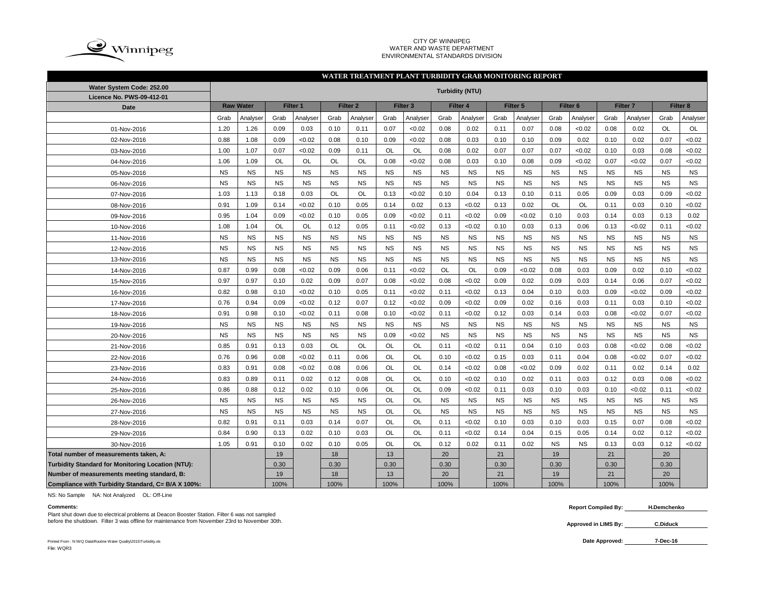

### CITY OF WINNIPEG WATER AND WASTE DEPARTMENT ENVIRONMENTAL STANDARDS DIVISION

### Grab |Analyser| Grab |Analyser| Grab |Analyser| Grab |Analyser| Grab |Analyser| Grab |Analyser| Grab |Grab |Analyser| Grab |Analyser 1.20 | 1.26 | 0.09 | 0.03 | 0.10 | 0.11 | 0.07 | <0.02 | 0.08 | 0.02 | 0.01 | 0.07 | 0.08 | <0.02 | 0.02 | OL | OL  $0.88$   $\mid$   $1.08$   $\mid$   $0.09$   $\mid$   $<$ 0.02  $\mid$   $\mid$   $0.08$   $\mid$   $0.09$   $\mid$   $<$ 0.02  $\mid$   $0.02$   $\mid$   $0.02$   $\mid$   $0.02$   $\mid$   $0.02$   $\mid$   $0.02$   $\mid$   $0.02$   $\mid$   $0.07$   $\mid$   $<$ 0.02 1.00 | 1.07 | 0.07 | <0.02 | 0.09 | 0.11 | OL | OL | 0.08 | 0.02 | 0.07 | 0.07 | <0.02 | 0.10 | 0.03 | 0.08 | <0.02 1.06 | 1.09 | OL | OL | OL | OL | 0.08 | <0.02 | 0.08 | 0.03 | 0.10 | 0.08 | 0.09 | <0.02 | 0.07 | <0.02 | 0.07 | <0.02 NS NS NS NS NS NS NS NS NS NS NS NS NS NS NS NS NS NS NS NS NS NS NS NS NS NS NS NS NS NS NS NS NS NS NS NS 1.03 | 1.13 | 0.18 | 0.03 | OL | OL | 0.13 | <0.02 | 0.10 | 0.04 | 0.13 | 0.10 | 0.11 | 0.05 | 0.09 | 0.03 | 0.09 | <0.02 0.91 | 1.09 | 0.14 | <0.02 | 0.10 | 0.05 | 0.14 | 0.02 | 0.13 | <0.02 | 0.13 | 0.02 | OL | OL | 0.11 | 0.03 | 0.10 | <0.02 0.95 1.04 0.09 <0.02 0.10 0.05 0.09 <0.02 0.11 <0.02 0.09 <0.02 0.10 0.03 0.14 0.03 0.13 0.02 1.08 | 1.04 | OL | OL | 0.12 | 0.05 | 0.11 | <0.02 | 0.13 | <0.02 | 0.10 | 0.03 | 0.13 | 0.06 | 0.13 | <0.02 | 0.11 | <0.02 NS NS NS NS NS NS NS NS NS NS NS NS NS NS NS NS NS NS NS NS NS NS NS NS NS NS NS NS NS NS NS NS NS NS NS NS NS NS NS NS NS NS NS NS NS NS NS NS NS NS NS NS NS NS 0.87 | 0.99 | 0.08 | <0.02 | 0.09 | 0.06 | 0.11 | <0.02 | OL | OL | 0.09 | <0.02 | 0.08 | 0.03 | 0.09 | 0.02 | 0.10 | <0.02  $0.97$   $\mid$   $0.97$   $\mid$   $0.10$   $\mid$   $0.02$   $\mid$   $0.09$   $\mid$   $0.07$   $\mid$   $0.08$   $\mid$   $<$  $0.02$   $\mid$   $0.02$   $\mid$   $0.02$   $\mid$   $0.03$   $\mid$   $0.14$   $\mid$   $0.06$   $\mid$   $0.07$   $\mid$   $<$  $0.02$ 0.82 | 0.98 | 0.10 | <0.02 | 0.10 | 0.05 | 0.11 | <0.02 | 0.11 | <0.02 | 0.13 | 0.04 | 0.10 | 0.03 | 0.09 | <0.02 | 0.09 | <0.02 0.76 | 0.94 | 0.09 | <0.02 | 0.12 | 0.07 | 0.12 | <0.02 | 0.09 | <0.02 | 0.09 | 0.02 | 0.16 | 0.03 | 0.11 | 0.03 | 0.10 | <0.02 0.91 | 0.98 | 0.10 | <0.02 | 0.11 | 0.08 | 0.10 | <0.02 | 0.11 | <0.02 | 0.12 | 0.03 | 0.14 | 0.03 | 0.08 | <0.02 | 0.07 | <0.02 NS NS NS NS NS NS NS NS NS NS NS NS NS NS NS NS NS NS NS NS NS NS NS NS 0.09 <0.02 NS NS NS NS NS NS NS NS NS NS 0.85 | 0.91 | 0.13 | 0.03 | OL | OL | OL | OL | 0.11 | <0.02 | 0.11 | 0.04 | 0.10 | 0.03 | 0.08 | <0.02 | 0.08 | <0.02 0.76 | 0.96 | 0.08 | <0.02 | 0.11 | 0.06 | OL | OL | 0.10 | <0.02 | 0.15 | 0.03 | 0.11 | 0.04 | 0.08 | <0.02 | 0.07 | <0.02 0.83 | 0.91 | 0.08 | <0.02 | 0.08 | 0.06 | OL | OL | 0.14 | <0.02 | 0.08 | <0.02 | 0.09 | 0.02 | 0.11 | 0.02 | 0.14 | 0.02 0.83 | 0.89 | 0.11 | 0.02 | 0.12 | 0.08 | OL | OL | 0.10 | <0.02 | 0.10 | 0.02 | 0.11 | 0.03 | 0.12 | 0.03 | 0.08 | <0.02 0.86 | 0.88 | 0.12 | 0.02 | 0.10 | 0.06 | OL | OL | 0.09 | <0.02 | 0.11 | 0.03 | 0.10 | 0.03 | 0.10 | <0.02 | 0.11 | <0.02 NS NS NS NS NS NS OL OL NS NS NS NS NS NS NS NS NS NS NS NS NS NS NS NS OL OL NS NS NS NS NS NS NS NS NS NS 0.82 | 0.91 | 0.11 | 0.03 | 0.14 | 0.07 | OL | OL | 0.11 | <0.02 | 0.10 | 0.03 | 0.10 | 0.03 | 0.15 | 0.07 | 0.08 | <0.02 0.84 | 0.90 | 0.13 | 0.02 | 0.10 | 0.03 | OL | OL | 0.11 | <0.02 | 0.14 | 0.04 | 0.15 | 0.05 | 0.14 | 0.02 | 0.12 | <0.02 1.05 | 0.91 | 0.10 | 0.02 | 0.10 | 0.05 | OL | OL | 0.12 | 0.02 | 0.11 | 0.02 | NS | NS | 0.13 | 0.03 | 0.12 | <0.02 **Total number of measurements taken, A:** 19 18 19 18 13 13 20 20 21 21 21 21 221 20 **Turbidity Standard for Monitoring Location (NTU):** | 0.30 | 0.30 | 0.30 | 0.30 | 0.30 | 0.30 | 0.30 | 0.30 | 0.30 | 0.30 | 0.30 | 0.30 | 0.30 | 0.30 | 0.30 | 0.30 | 0.30 | 0.30 | 0.30 | 0.30 | 0.30 | 0.30 | 0.30 | 0.30 | **Number of measurements meeting standard, B:** 19 18 13 20 21 19 21 20 **Compliance with Turbidity Standard, C= B/A X 100%:** 100% 100% 100% 100% 100% 100% 100% 100% **WATER TREATMENT PLANT TURBIDITY GRAB MONITORING REPORT Water System Code: 252.00 Turbidity (NTU) Licence No. PWS-09-412-01 Date Raw Water Filter 1 Filter 2 Filter 3 Filter 4 Filter 5 Filter 6 Filter 7 Filter 8** 12-Nov-2016 01-Nov-2016 02-Nov-2016 03-Nov-2016 04-Nov-2016 05-Nov-2016 06-Nov-2016 07-Nov-2016 08-Nov-2016 09-Nov-2016 10-Nov-2016 11-Nov-2016 24-Nov-2016 13-Nov-2016 14-Nov-2016 15-Nov-2016 16-Nov-2016 17-Nov-2016 18-Nov-2016 19-Nov-2016 20-Nov-2016 21-Nov-2016 22-Nov-2016 23-Nov-2016 25-Nov-2016 26-Nov-2016 27-Nov-2016 28-Nov-2016 29-Nov-2016 30-Nov-2016

NS: No Sample NA: Not Analyzed OL: Off-Line

Plant shut down due to electrical problems at Deacon Booster Station. Filter 6 was not sampled before the shutdown. Filter 3 was offline for maintenance from November 23rd to November 30th. **C.** Diduck **C.** Diduck

Printed From : N:\WQ Data\Routine Water Quality\2015\Turbidity.xls **Date Approved:** File: WQR3

**Comments: Report Compiled By: H.Demchenko**

**Approved in LIMS By:**

## **7-Dec-16**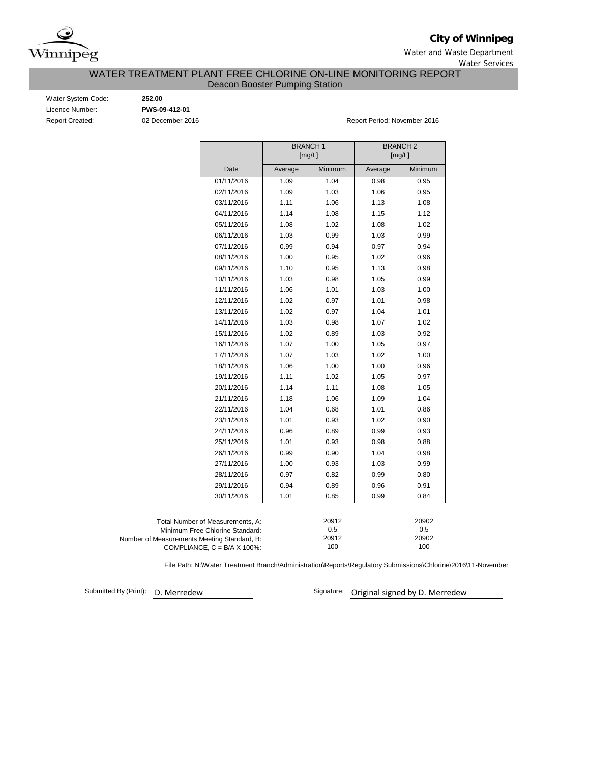

**City of Winnipeg**

Water and Waste Department

Water Services

# WATER TREATMENT PLANT FREE CHLORINE ON-LINE MONITORING REPORT Deacon Booster Pumping Station

Water System Code: **252.00** Licence Number: **PWS-09-412-01**

Report Created: 02 December 2016 Report Period: November 2016

|                                             |                                      | <b>BRANCH1</b><br>[mg/L] |              | <b>BRANCH2</b><br>[mg/L] |              |  |  |  |  |
|---------------------------------------------|--------------------------------------|--------------------------|--------------|--------------------------|--------------|--|--|--|--|
|                                             | Date                                 | Average                  | Minimum      | Average                  | Minimum      |  |  |  |  |
|                                             |                                      |                          |              |                          |              |  |  |  |  |
|                                             | 01/11/2016                           | 1.09                     | 1.04         | 0.98                     | 0.95         |  |  |  |  |
|                                             | 02/11/2016                           | 1.09                     | 1.03         | 1.06                     | 0.95         |  |  |  |  |
|                                             | 03/11/2016                           | 1.11                     | 1.06         | 1.13                     | 1.08         |  |  |  |  |
|                                             | 04/11/2016                           | 1.14                     | 1.08         | 1.15                     | 1.12         |  |  |  |  |
|                                             | 05/11/2016                           | 1.08                     | 1.02         | 1.08                     | 1.02         |  |  |  |  |
|                                             | 06/11/2016                           | 1.03                     | 0.99         | 1.03                     | 0.99         |  |  |  |  |
|                                             | 07/11/2016                           | 0.99                     | 0.94         | 0.97                     | 0.94         |  |  |  |  |
|                                             | 08/11/2016                           | 1.00                     | 0.95         | 1.02                     | 0.96         |  |  |  |  |
|                                             | 09/11/2016                           | 1.10                     | 0.95         | 1.13                     | 0.98         |  |  |  |  |
|                                             | 10/11/2016                           | 1.03                     | 0.98         | 1.05                     | 0.99         |  |  |  |  |
|                                             | 11/11/2016                           | 1.06                     | 1.01         | 1.03                     | 1.00         |  |  |  |  |
|                                             | 12/11/2016                           | 1.02                     | 0.97         | 1.01                     | 0.98         |  |  |  |  |
|                                             | 13/11/2016                           | 1.02                     | 0.97         | 1.04                     | 1.01         |  |  |  |  |
|                                             | 14/11/2016                           | 1.03                     | 0.98         | 1.07                     | 1.02         |  |  |  |  |
|                                             | 15/11/2016                           | 1.02                     | 0.89         | 1.03                     | 0.92         |  |  |  |  |
|                                             | 16/11/2016                           | 1.07                     | 1.00         | 1.05                     | 0.97         |  |  |  |  |
|                                             | 17/11/2016                           | 1.07                     | 1.03         | 1.02                     | 1.00         |  |  |  |  |
|                                             | 18/11/2016                           | 1.06                     | 1.00         | 1.00                     | 0.96         |  |  |  |  |
|                                             | 19/11/2016                           | 1.11                     | 1.02         | 1.05                     | 0.97         |  |  |  |  |
|                                             | 20/11/2016                           | 1.14                     | 1.11         | 1.08                     | 1.05         |  |  |  |  |
|                                             | 21/11/2016                           | 1.18                     | 1.06         | 1.09                     | 1.04         |  |  |  |  |
|                                             | 22/11/2016                           | 1.04                     | 0.68         | 1.01                     | 0.86         |  |  |  |  |
|                                             | 23/11/2016                           | 1.01                     | 0.93         | 1.02                     | 0.90         |  |  |  |  |
|                                             | 24/11/2016                           | 0.96                     | 0.89         | 0.99                     | 0.93         |  |  |  |  |
|                                             | 25/11/2016                           | 1.01                     | 0.93         | 0.98                     | 0.88         |  |  |  |  |
|                                             | 26/11/2016                           | 0.99                     | 0.90         | 1.04                     | 0.98         |  |  |  |  |
|                                             | 27/11/2016                           | 1.00                     | 0.93         | 1.03                     | 0.99         |  |  |  |  |
|                                             | 28/11/2016                           | 0.97                     | 0.82         | 0.99                     | 0.80         |  |  |  |  |
|                                             | 29/11/2016                           | 0.94                     | 0.89         | 0.96                     | 0.91         |  |  |  |  |
|                                             | 30/11/2016                           | 1.01                     | 0.85         | 0.99                     | 0.84         |  |  |  |  |
|                                             |                                      |                          |              |                          |              |  |  |  |  |
|                                             | Total Number of Measurements, A:     |                          | 20912        |                          | 20902        |  |  |  |  |
|                                             | Minimum Free Chlorine Standard:      |                          | 0.5          |                          | 0.5          |  |  |  |  |
| Number of Measurements Meeting Standard, B: |                                      |                          | 20912<br>100 |                          | 20902<br>100 |  |  |  |  |
|                                             | COMPLIANCE, $C = B/A \times 100\%$ : |                          |              |                          |              |  |  |  |  |

File Path: N:\Water Treatment Branch\Administration\Reports\Regulatory Submissions\Chlorine\2016\11-November

Submitted By (Print): D. Merredew

Signature: Original signed by D. Merredew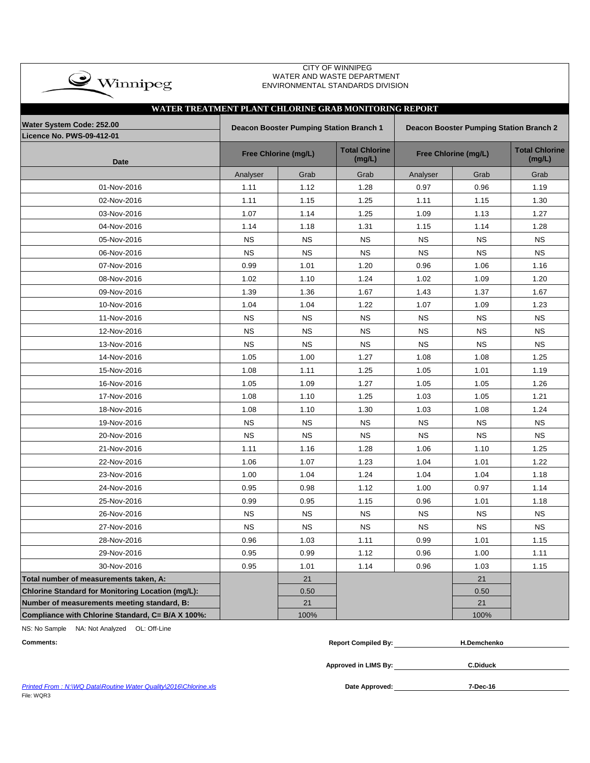| <b>CITY OF WINNIPEG</b><br>$\clubsuit$ Winnipeg<br>WATER AND WASTE DEPARTMENT<br>ENVIRONMENTAL STANDARDS DIVISION |           |                                         |                                 |                                                |                      |                                 |  |  |  |  |  |  |  |  |
|-------------------------------------------------------------------------------------------------------------------|-----------|-----------------------------------------|---------------------------------|------------------------------------------------|----------------------|---------------------------------|--|--|--|--|--|--|--|--|
| WATER TREATMENT PLANT CHLORINE GRAB MONITORING REPORT                                                             |           |                                         |                                 |                                                |                      |                                 |  |  |  |  |  |  |  |  |
| Water System Code: 252.00<br><b>Licence No. PWS-09-412-01</b>                                                     |           | Deacon Booster Pumping Station Branch 1 |                                 | <b>Deacon Booster Pumping Station Branch 2</b> |                      |                                 |  |  |  |  |  |  |  |  |
| <b>Date</b>                                                                                                       |           | Free Chlorine (mg/L)                    | <b>Total Chlorine</b><br>(mg/L) |                                                | Free Chlorine (mg/L) | <b>Total Chlorine</b><br>(mg/L) |  |  |  |  |  |  |  |  |
|                                                                                                                   | Analyser  | Grab                                    | Grab                            | Analyser                                       | Grab                 | Grab                            |  |  |  |  |  |  |  |  |
| 01-Nov-2016                                                                                                       | 1.11      | 1.12                                    | 1.28                            | 0.97                                           | 0.96                 | 1.19                            |  |  |  |  |  |  |  |  |
| 02-Nov-2016                                                                                                       | 1.11      | 1.15                                    | 1.25                            | 1.11                                           | 1.15                 | 1.30                            |  |  |  |  |  |  |  |  |
| 03-Nov-2016                                                                                                       | 1.07      | 1.14                                    | 1.25                            | 1.09                                           | 1.13                 | 1.27                            |  |  |  |  |  |  |  |  |
| 04-Nov-2016                                                                                                       | 1.14      | 1.18                                    | 1.31                            | 1.15                                           | 1.14                 | 1.28                            |  |  |  |  |  |  |  |  |
| 05-Nov-2016                                                                                                       | <b>NS</b> | <b>NS</b>                               | <b>NS</b>                       | <b>NS</b>                                      | <b>NS</b>            | <b>NS</b>                       |  |  |  |  |  |  |  |  |
| 06-Nov-2016                                                                                                       | <b>NS</b> | <b>NS</b>                               | <b>NS</b>                       | <b>NS</b>                                      | <b>NS</b>            | <b>NS</b>                       |  |  |  |  |  |  |  |  |
| 07-Nov-2016                                                                                                       | 0.99      | 1.01                                    | 1.20                            | 0.96                                           | 1.06                 | 1.16                            |  |  |  |  |  |  |  |  |
| 08-Nov-2016                                                                                                       | 1.02      | 1.10                                    | 1.24                            | 1.02                                           | 1.09                 | 1.20                            |  |  |  |  |  |  |  |  |
| 09-Nov-2016                                                                                                       | 1.39      | 1.36                                    | 1.67                            | 1.43                                           | 1.37                 | 1.67                            |  |  |  |  |  |  |  |  |
| 10-Nov-2016                                                                                                       | 1.04      | 1.04                                    | 1.22                            | 1.07                                           | 1.09                 | 1.23                            |  |  |  |  |  |  |  |  |
| 11-Nov-2016                                                                                                       | <b>NS</b> | <b>NS</b>                               | <b>NS</b>                       | <b>NS</b>                                      | ΝS                   | <b>NS</b>                       |  |  |  |  |  |  |  |  |
| 12-Nov-2016                                                                                                       | <b>NS</b> | <b>NS</b>                               | <b>NS</b>                       | <b>NS</b>                                      | <b>NS</b>            | <b>NS</b>                       |  |  |  |  |  |  |  |  |
| 13-Nov-2016                                                                                                       | <b>NS</b> | <b>NS</b>                               | <b>NS</b>                       | <b>NS</b>                                      | <b>NS</b>            | <b>NS</b>                       |  |  |  |  |  |  |  |  |
| 14-Nov-2016                                                                                                       | 1.05      | 1.00                                    | 1.27                            | 1.08                                           | 1.08                 | 1.25                            |  |  |  |  |  |  |  |  |
| 15-Nov-2016                                                                                                       | 1.08      | 1.11                                    | 1.25                            | 1.05                                           | 1.01                 | 1.19                            |  |  |  |  |  |  |  |  |
| 16-Nov-2016                                                                                                       | 1.05      | 1.09                                    | 1.27                            | 1.05                                           | 1.05                 | 1.26                            |  |  |  |  |  |  |  |  |
| 17-Nov-2016                                                                                                       | 1.08      | 1.10                                    | 1.25                            | 1.03                                           | 1.05                 | 1.21                            |  |  |  |  |  |  |  |  |
| 18-Nov-2016                                                                                                       | 1.08      | 1.10                                    | 1.30                            | 1.03                                           | 1.08                 | 1.24                            |  |  |  |  |  |  |  |  |
| 19-Nov-2016                                                                                                       | <b>NS</b> | <b>NS</b>                               | <b>NS</b>                       | <b>NS</b>                                      | <b>NS</b>            | <b>NS</b>                       |  |  |  |  |  |  |  |  |
| 20-Nov-2016                                                                                                       | <b>NS</b> | <b>NS</b>                               | <b>NS</b>                       | <b>NS</b>                                      | <b>NS</b>            | <b>NS</b>                       |  |  |  |  |  |  |  |  |
| 21-Nov-2016                                                                                                       | 1.11      | 1.16                                    | 1.28                            | 1.06                                           | 1.10                 | 1.25                            |  |  |  |  |  |  |  |  |
| 22-Nov-2016                                                                                                       | 1.06      | 1.07                                    | 1.23                            | 1.04                                           | 1.01                 | 1.22                            |  |  |  |  |  |  |  |  |
| 23-Nov-2016                                                                                                       | 1.00      | 1.04                                    | 1.24                            | 1.04                                           | 1.04                 | 1.18                            |  |  |  |  |  |  |  |  |
| 24-Nov-2016                                                                                                       | 0.95      | 0.98                                    | 1.12                            | 1.00                                           | 0.97                 | 1.14                            |  |  |  |  |  |  |  |  |
| 25-Nov-2016                                                                                                       | 0.99      | 0.95                                    | 1.15                            | 0.96                                           | 1.01                 | 1.18                            |  |  |  |  |  |  |  |  |
| 26-Nov-2016                                                                                                       | NS.       | <b>NS</b>                               | <b>NS</b>                       | <b>NS</b>                                      | <b>NS</b>            | <b>NS</b>                       |  |  |  |  |  |  |  |  |
| 27-Nov-2016                                                                                                       | <b>NS</b> | <b>NS</b>                               | <b>NS</b>                       | <b>NS</b>                                      | <b>NS</b>            | <b>NS</b>                       |  |  |  |  |  |  |  |  |
| 28-Nov-2016                                                                                                       | 0.96      | 1.03                                    | 1.11                            | 0.99                                           | 1.01                 | 1.15                            |  |  |  |  |  |  |  |  |
| 29-Nov-2016                                                                                                       | 0.95      | 0.99                                    | 1.12                            | 0.96                                           | 1.00                 | 1.11                            |  |  |  |  |  |  |  |  |
| 30-Nov-2016                                                                                                       | 0.95      | 1.01                                    | 1.14                            | 0.96                                           | 1.03                 | 1.15                            |  |  |  |  |  |  |  |  |
| Total number of measurements taken, A:                                                                            |           | 21                                      |                                 |                                                | 21                   |                                 |  |  |  |  |  |  |  |  |
| <b>Chlorine Standard for Monitoring Location (mg/L):</b>                                                          |           | 0.50                                    |                                 |                                                | 0.50                 |                                 |  |  |  |  |  |  |  |  |
| Number of measurements meeting standard, B:                                                                       |           | 21                                      |                                 |                                                | 21                   |                                 |  |  |  |  |  |  |  |  |
| Compliance with Chlorine Standard, C= B/A X 100%:                                                                 |           | 100%                                    |                                 |                                                | 100%                 |                                 |  |  |  |  |  |  |  |  |

CITY OF WINNIPEG

NS: No Sample NA: Not Analyzed OL: Off-Line

| <b>Comments:</b> | <b>Report Compiled By:</b> | <b>H.Demchenko</b> |  |
|------------------|----------------------------|--------------------|--|
|                  |                            |                    |  |

**Approved in LIMS By: C.Diduck**

**Printed From : N:\WQ Data\Routine Water Quality\2016\Chlorine.xls** File: WQR3

Date Approved: 7-Dec-16